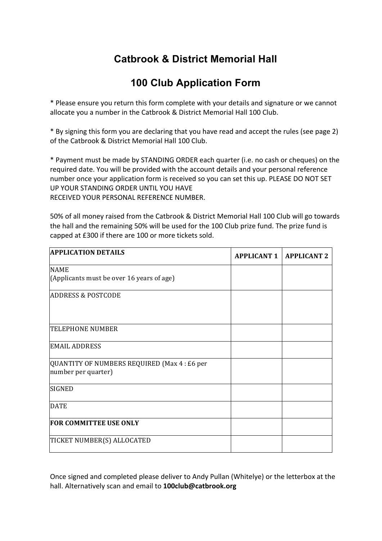## **Catbrook & District Memorial Hall**

## **100 Club Application Form**

\* Please ensure you return this form complete with your details and signature or we cannot allocate you a number in the Catbrook & District Memorial Hall 100 Club.

\* By signing this form you are declaring that you have read and accept the rules (see page 2) of the Catbrook & District Memorial Hall 100 Club.

\* Payment must be made by STANDING ORDER each quarter (i.e. no cash or cheques) on the required date. You will be provided with the account details and your personal reference number once your application form is received so you can set this up. PLEASE DO NOT SET UP YOUR STANDING ORDER UNTIL YOU HAVE RECEIVED YOUR PERSONAL REFERENCE NUMBER.

50% of all money raised from the Catbrook & District Memorial Hall 100 Club will go towards

the hall and the remaining 50% will be used for the 100 Club prize fund. The prize fund is capped at £300 if there are 100 or more tickets sold.

| <b>APPLICATION DETAILS</b>                                          | <b>APPLICANT 1</b> | <b>APPLICANT 2</b> |
|---------------------------------------------------------------------|--------------------|--------------------|
| <b>NAME</b>                                                         |                    |                    |
| (Applicants must be over 16 years of age)                           |                    |                    |
| <b>ADDRESS &amp; POSTCODE</b>                                       |                    |                    |
| <b>TELEPHONE NUMBER</b>                                             |                    |                    |
| <b>EMAIL ADDRESS</b>                                                |                    |                    |
| QUANTITY OF NUMBERS REQUIRED (Max 4 : £6 per<br>number per quarter) |                    |                    |
| <b>SIGNED</b>                                                       |                    |                    |
| <b>DATE</b>                                                         |                    |                    |
| <b>FOR COMMITTEE USE ONLY</b>                                       |                    |                    |
| TICKET NUMBER(S) ALLOCATED                                          |                    |                    |

Once signed and completed please deliver to Andy Pullan (Whitelye) or the letterbox at the hall. Alternatively scan and email to **100club@catbrook.org**